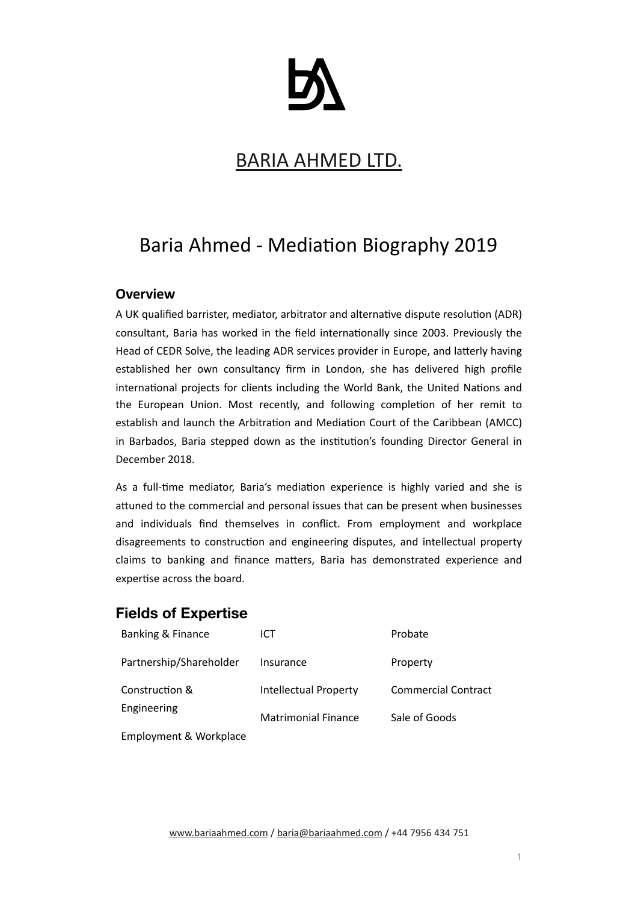# BARIA AHMED LTD.

# Baria Ahmed - Mediation Biography 2019

### **Overview**

A UK qualified barrister, mediator, arbitrator and alternative dispute resolution (ADR) consultant, Baria has worked in the field internationally since 2003. Previously the Head of CEDR Solve, the leading ADR services provider in Europe, and latterly having established her own consultancy firm in London, she has delivered high profile international projects for clients including the World Bank, the United Nations and the European Union. Most recently, and following completion of her remit to establish and launch the Arbitration and Mediation Court of the Caribbean (AMCC) in Barbados, Baria stepped down as the institution's founding Director General in December 2018.

As a full-time mediator, Baria's mediation experience is highly varied and she is attuned to the commercial and personal issues that can be present when businesses and individuals find themselves in conflict. From employment and workplace disagreements to construction and engineering disputes, and intellectual property claims to banking and finance matters. Baria has demonstrated experience and expertise across the board.

# **Fields of Expertise**

| Banking & Finance       | ICT                        | Probate                    |
|-------------------------|----------------------------|----------------------------|
| Partnership/Shareholder | Insurance                  | Property                   |
| Construction &          | Intellectual Property      | <b>Commercial Contract</b> |
| Engineering             | <b>Matrimonial Finance</b> | Sale of Goods              |
| Employment & Workplace  |                            |                            |

[www.bariaahmed.com](http://www.bariaahmed.com) / baria@bariaahmed.com / +44 7956 434 751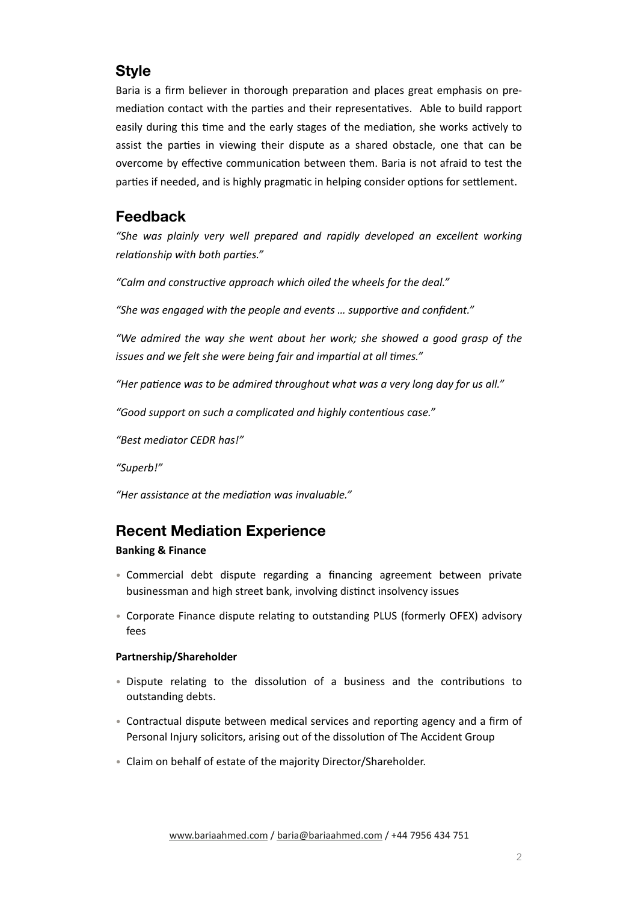# **Style**

Baria is a firm believer in thorough preparation and places great emphasis on premediation contact with the parties and their representatives. Able to build rapport easily during this time and the early stages of the mediation, she works actively to assist the parties in viewing their dispute as a shared obstacle, one that can be overcome by effective communication between them. Baria is not afraid to test the parties if needed, and is highly pragmatic in helping consider options for settlement.

## **Feedback**

"She was plainly very well prepared and rapidly developed an excellent working *relationship* with both parties."

"Calm and constructive approach which oiled the wheels for the deal."

"She was engaged with the people and events ... supportive and confident."

*"We admired the way she went about her work; she showed a good grasp of the issues and we felt she were being fair and impartial at all times."* 

"Her patience was to be admired throughout what was a very long day for us all."

"Good support on such a complicated and highly contentious case."

*"Best mediator CEDR has!"* 

*"Superb!"* 

*"Her assistance at the media7on was invaluable."* 

# **Recent Mediation Experience**

#### **Banking & Finance**

- Commercial debt dispute regarding a financing agreement between private businessman and high street bank, involving distinct insolvency issues
- Corporate Finance dispute relating to outstanding PLUS (formerly OFEX) advisory fees

### **Partnership/Shareholder**

- Dispute relating to the dissolution of a business and the contributions to outstanding debts.
- Contractual dispute between medical services and reporting agency and a firm of Personal Injury solicitors, arising out of the dissolution of The Accident Group
- Claim on behalf of estate of the majority Director/Shareholder.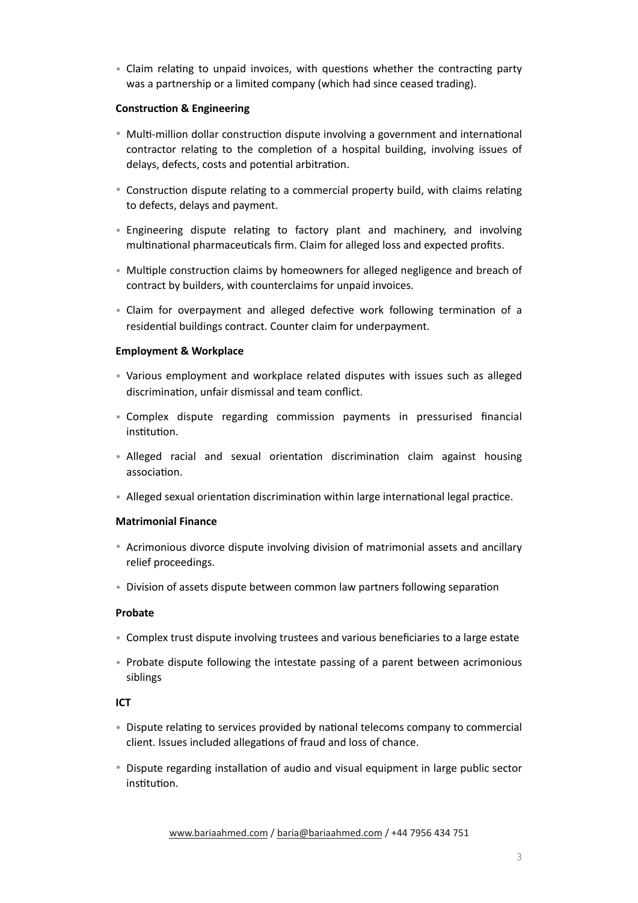• Claim relating to unpaid invoices, with questions whether the contracting party was a partnership or a limited company (which had since ceased trading).

#### **Construction & Engineering**

- Multi-million dollar construction dispute involving a government and international contractor relating to the completion of a hospital building, involving issues of delays, defects, costs and potential arbitration.
- Construction dispute relating to a commercial property build, with claims relating to defects, delays and payment.
- Engineering dispute relating to factory plant and machinery, and involving multinational pharmaceuticals firm. Claim for alleged loss and expected profits.
- Multiple construction claims by homeowners for alleged negligence and breach of contract by builders, with counterclaims for unpaid invoices.
- Claim for overpayment and alleged defective work following termination of a residential buildings contract. Counter claim for underpayment.

#### **Employment & Workplace**

- Various employment and workplace related disputes with issues such as alleged discrimination, unfair dismissal and team conflict.
- Complex dispute regarding commission payments in pressurised financial institution
- Alleged racial and sexual orientation discrimination claim against housing association.
- Alleged sexual orientation discrimination within large international legal practice.

#### **Matrimonial Finance**

- Acrimonious divorce dispute involving division of matrimonial assets and ancillary relief proceedings.
- Division of assets dispute between common law partners following separation

#### **Probate**

- Complex trust dispute involving trustees and various beneficiaries to a large estate
- Probate dispute following the intestate passing of a parent between acrimonious siblings

### **ICT**

- Dispute relating to services provided by national telecoms company to commercial client. Issues included allegations of fraud and loss of chance.
- Dispute regarding installation of audio and visual equipment in large public sector institution.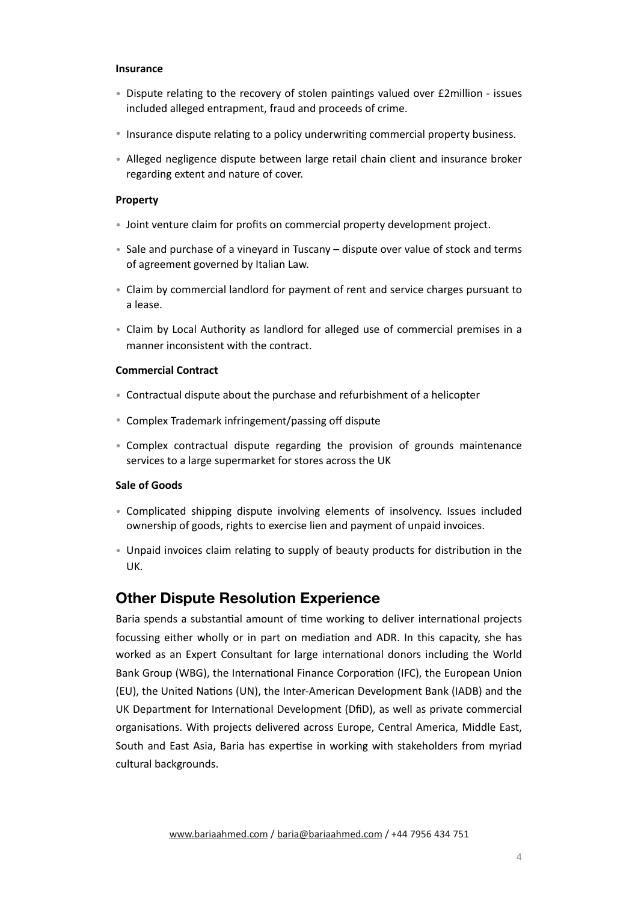#### **Insurance**

- Dispute relating to the recovery of stolen paintings valued over £2million issues included alleged entrapment, fraud and proceeds of crime.
- Insurance dispute relating to a policy underwriting commercial property business.
- Alleged negligence dispute between large retail chain client and insurance broker regarding extent and nature of cover.

#### **Property**

- Joint venture claim for profits on commercial property development project.
- Sale and purchase of a vineyard in Tuscany dispute over value of stock and terms of agreement governed by Italian Law.
- Claim by commercial landlord for payment of rent and service charges pursuant to a lease.
- Claim by Local Authority as landlord for alleged use of commercial premises in a manner inconsistent with the contract.

#### **Commercial Contract**

- Contractual dispute about the purchase and refurbishment of a helicopter
- Complex Trademark infringement/passing off dispute
- Complex contractual dispute regarding the provision of grounds maintenance services to a large supermarket for stores across the UK

#### **Sale of Goods**

- Complicated shipping dispute involving elements of insolvency. Issues included ownership of goods, rights to exercise lien and payment of unpaid invoices.
- Unpaid invoices claim relating to supply of beauty products for distribution in the UK.

### **Other Dispute Resolution Experience**

Baria spends a substantial amount of time working to deliver international projects focussing either wholly or in part on mediation and ADR. In this capacity, she has worked as an Expert Consultant for large international donors including the World Bank Group (WBG), the International Finance Corporation (IFC), the European Union (EU), the United Nations (UN), the Inter-American Development Bank (IADB) and the UK Department for International Development (DfiD), as well as private commercial organisations. With projects delivered across Europe, Central America, Middle East, South and East Asia, Baria has expertise in working with stakeholders from myriad cultural backgrounds.